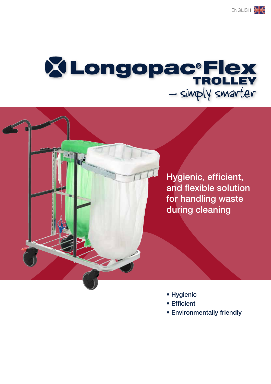# **XLongopac<sup>®</sup>Flex** - simply smarter

Hygienic, efficient, and flexible solution for handling waste during cleaning

- Hygienic
- Efficient
- Environmentally friendly